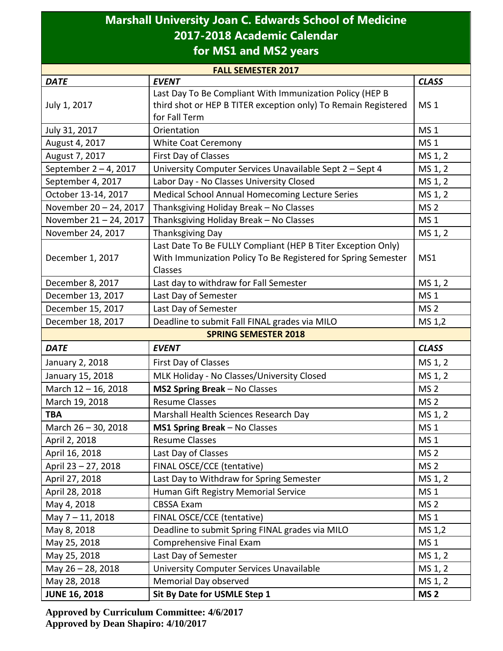## **Marshall University Joan C. Edwards School of Medicine 2017-2018 Academic Calendar for MS1 and MS2 years**

| <b>FALL SEMESTER 2017</b> |                                                                     |                 |  |
|---------------------------|---------------------------------------------------------------------|-----------------|--|
| <b>DATE</b>               | <b>EVENT</b>                                                        | <b>CLASS</b>    |  |
|                           | Last Day To Be Compliant With Immunization Policy (HEP B            |                 |  |
| July 1, 2017              | third shot or HEP B TITER exception only) To Remain Registered      | MS <sub>1</sub> |  |
|                           | for Fall Term                                                       |                 |  |
| July 31, 2017             | Orientation                                                         | <b>MS1</b>      |  |
| August 4, 2017            | <b>White Coat Ceremony</b>                                          | MS <sub>1</sub> |  |
| August 7, 2017            | First Day of Classes                                                | MS 1, 2         |  |
| September 2-4, 2017       | MS 1, 2<br>University Computer Services Unavailable Sept 2 - Sept 4 |                 |  |
| September 4, 2017         | Labor Day - No Classes University Closed<br>MS 1, 2                 |                 |  |
| October 13-14, 2017       | Medical School Annual Homecoming Lecture Series<br>MS 1, 2          |                 |  |
| November 20 - 24, 2017    | Thanksgiving Holiday Break - No Classes<br>MS <sub>2</sub>          |                 |  |
| November 21-24, 2017      | Thanksgiving Holiday Break - No Classes                             | MS <sub>1</sub> |  |
| November 24, 2017         | Thanksgiving Day                                                    | MS 1, 2         |  |
|                           | Last Date To Be FULLY Compliant (HEP B Titer Exception Only)        |                 |  |
| December 1, 2017          | With Immunization Policy To Be Registered for Spring Semester       | MS1             |  |
|                           | Classes                                                             |                 |  |
| December 8, 2017          | Last day to withdraw for Fall Semester                              | MS 1, 2         |  |
| December 13, 2017         | Last Day of Semester                                                | MS <sub>1</sub> |  |
| December 15, 2017         | Last Day of Semester                                                | MS <sub>2</sub> |  |
| December 18, 2017         | Deadline to submit Fall FINAL grades via MILO                       | MS 1,2          |  |
|                           | <b>SPRING SEMESTER 2018</b>                                         |                 |  |
| <b>DATE</b>               | <b>EVENT</b>                                                        | <b>CLASS</b>    |  |
| January 2, 2018           | First Day of Classes                                                | MS 1, 2         |  |
| January 15, 2018          | MLK Holiday - No Classes/University Closed                          | MS 1, 2         |  |
| March 12 - 16, 2018       | MS2 Spring Break - No Classes                                       | MS <sub>2</sub> |  |
| March 19, 2018            | <b>Resume Classes</b>                                               | MS <sub>2</sub> |  |
| <b>TBA</b>                | Marshall Health Sciences Research Day                               | MS 1, 2         |  |
| March 26 - 30, 2018       | MS1 Spring Break - No Classes                                       | <b>MS1</b>      |  |
| April 2, 2018             | <b>Resume Classes</b>                                               | MS <sub>1</sub> |  |
| April 16, 2018            | Last Day of Classes                                                 | MS <sub>2</sub> |  |
| April 23 - 27, 2018       | FINAL OSCE/CCE (tentative)                                          | MS <sub>2</sub> |  |
| April 27, 2018            | Last Day to Withdraw for Spring Semester                            | MS 1, 2         |  |
| April 28, 2018            | Human Gift Registry Memorial Service                                | MS <sub>1</sub> |  |
| May 4, 2018               | <b>CBSSA Exam</b>                                                   | MS <sub>2</sub> |  |
| May 7-11, 2018            | FINAL OSCE/CCE (tentative)                                          | MS <sub>1</sub> |  |
| May 8, 2018               | Deadline to submit Spring FINAL grades via MILO                     | MS 1,2          |  |
| May 25, 2018              | Comprehensive Final Exam                                            | MS <sub>1</sub> |  |
| May 25, 2018              | Last Day of Semester                                                | MS 1, 2         |  |
| May 26-28, 2018           | University Computer Services Unavailable                            | MS 1, 2         |  |
| May 28, 2018              | Memorial Day observed                                               | MS 1, 2         |  |
| <b>JUNE 16, 2018</b>      | Sit By Date for USMLE Step 1                                        | MS <sub>2</sub> |  |

**Approved by Curriculum Committee: 4/6/2017 Approved by Dean Shapiro: 4/10/2017**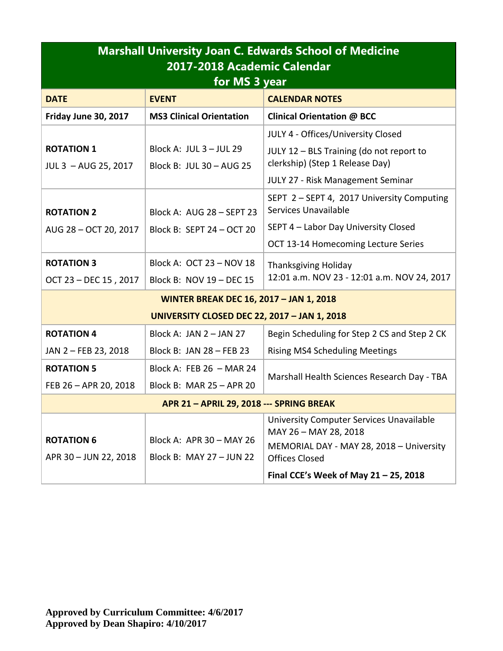| <b>Marshall University Joan C. Edwards School of Medicine</b><br>2017-2018 Academic Calendar<br>for MS 3 year |                                                      |                                                                    |  |  |
|---------------------------------------------------------------------------------------------------------------|------------------------------------------------------|--------------------------------------------------------------------|--|--|
| <b>DATE</b>                                                                                                   | <b>EVENT</b>                                         | <b>CALENDAR NOTES</b>                                              |  |  |
| Friday June 30, 2017                                                                                          | <b>MS3 Clinical Orientation</b>                      | <b>Clinical Orientation @ BCC</b>                                  |  |  |
|                                                                                                               |                                                      | JULY 4 - Offices/University Closed                                 |  |  |
| <b>ROTATION 1</b>                                                                                             | Block A: JUL $3 -$ JUL 29                            | JULY 12 - BLS Training (do not report to                           |  |  |
| JUL 3 - AUG 25, 2017                                                                                          | Block B: JUL 30 - AUG 25                             | clerkship) (Step 1 Release Day)                                    |  |  |
|                                                                                                               |                                                      | <b>JULY 27 - Risk Management Seminar</b>                           |  |  |
| <b>ROTATION 2</b>                                                                                             | Block A: AUG 28 - SEPT 23                            | SEPT 2 - SEPT 4, 2017 University Computing<br>Services Unavailable |  |  |
| AUG 28 - OCT 20, 2017                                                                                         | Block B: SEPT 24 - OCT 20                            | SEPT 4 - Labor Day University Closed                               |  |  |
|                                                                                                               |                                                      | OCT 13-14 Homecoming Lecture Series                                |  |  |
| <b>ROTATION 3</b>                                                                                             | Block A: OCT 23 - NOV 18                             | <b>Thanksgiving Holiday</b>                                        |  |  |
| OCT 23 - DEC 15, 2017                                                                                         | Block B: NOV 19 - DEC 15                             | 12:01 a.m. NOV 23 - 12:01 a.m. NOV 24, 2017                        |  |  |
| <b>WINTER BREAK DEC 16, 2017 - JAN 1, 2018</b>                                                                |                                                      |                                                                    |  |  |
| <b>UNIVERSITY CLOSED DEC 22, 2017 - JAN 1, 2018</b>                                                           |                                                      |                                                                    |  |  |
| <b>ROTATION 4</b>                                                                                             | Block A: JAN 2 - JAN 27                              | Begin Scheduling for Step 2 CS and Step 2 CK                       |  |  |
| JAN 2 - FEB 23, 2018                                                                                          | Block B: JAN 28 - FEB 23                             | <b>Rising MS4 Scheduling Meetings</b>                              |  |  |
| <b>ROTATION 5</b>                                                                                             | Block A: FEB 26 - MAR 24                             |                                                                    |  |  |
| FEB 26 - APR 20, 2018                                                                                         | Block B: MAR 25 - APR 20                             | Marshall Health Sciences Research Day - TBA                        |  |  |
| APR 21 - APRIL 29, 2018 --- SPRING BREAK                                                                      |                                                      |                                                                    |  |  |
|                                                                                                               |                                                      | University Computer Services Unavailable<br>MAY 26 - MAY 28, 2018  |  |  |
| <b>ROTATION 6</b><br>APR 30 - JUN 22, 2018                                                                    | Block A: APR 30 - MAY 26<br>Block B: MAY 27 - JUN 22 | MEMORIAL DAY - MAY 28, 2018 - University<br><b>Offices Closed</b>  |  |  |
|                                                                                                               |                                                      | Final CCE's Week of May $21 - 25$ , 2018                           |  |  |